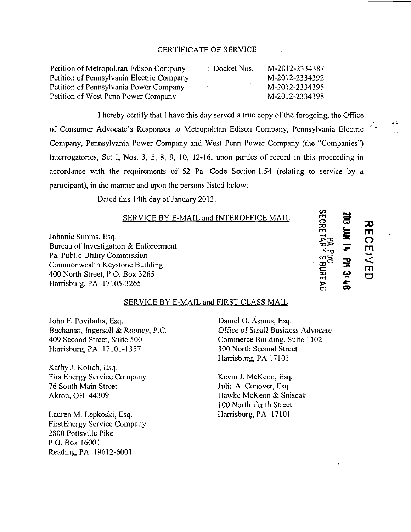## CERTIFICATE OF SERVICE

| Petition of Metropolitan Edison Company   | : Docket Nos. | M-2012-2334387 |
|-------------------------------------------|---------------|----------------|
| Petition of Pennsylvania Electric Company | $\bullet$     | M-2012-2334392 |
| Petition of Pennsylvania Power Company    | . .           | M-2012-2334395 |
| Petition of West Penn Power Company       |               | M-2012-2334398 |

I hereby certify that I have this day served a true copy of the foregoing, the Office of Consumer Advocate's Responses to Metropolitan Edison Company, Pennsylvania Electric Company, Pennsylvania Power Company and West Penn Power Company (the "Companies") Interrogatories, Set I, Nos. 3, 5, 8, 9, 10, 12-16, upon parties of record in this proceeding in accordance with the requirements of 52 Pa. Code Section 1.54 (relating to service by a participant), in the manner and upon the persons listed below:

Dated this 14th day of January 2013.

## SERVICE BY E-MAIL and INTEROFFICE MAIL

Johnnie Simms, Esq. Bureau of Investigation & Enforcement Pa. Public Utility Commission Commonwealth Keystone Building 400 North Street, P.O. Box 3265 Harrisburg, PA 17105-3265

## **o**  노<br>로  $\rightarrow$ F <mark></mark> <u>ሮ </u> *CO*  **TO**   $\mathbf{r}$

**30**   $\overline{O}$ <u>آس</u> **m** 

**< m o** 

**CA**   $\mathbf{m}$ 

**>** 

## SERVICE BY E-MAIL and FIRST CLASS MAIL

John F. Povilaitis, Esq. Buchanan, Ingersoll & Rooney, P.C. 409 Second Street, Suite 500 Harrisburg, PA 17101-1357

KathyJ. Kolich, Esq. FirstEnergy Service Company 76 South Main Street Akron, OH 44309

Lauren M. Lepkoski, Esq. FirstEnergy Service Company 2800 Pottsville Pike P.O. Box 16001 Reading, PA 19612-6001

Daniel G. Asmus, Esq. Office of Small Business Advocate Commerce Building, Suite 1102 300 North Second Street Harrisburg, PA 17101

Kevin J. McKeon, Esq. Julia A. Conover, Esq. Hawke McKeon & Sniscak 100 North Tenth Street Harrisburg, PA 17101